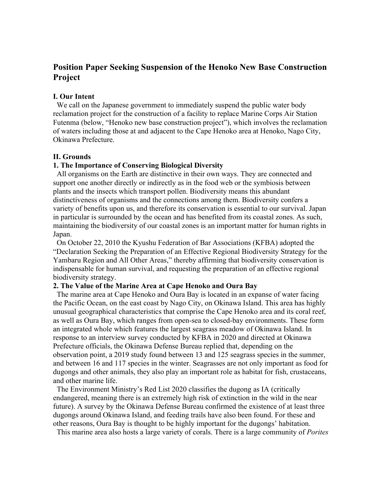# **Position Paper Seeking Suspension of the Henoko New Base Construction Project**

### **I. Our Intent**

We call on the Japanese government to immediately suspend the public water body reclamation project for the construction of a facility to replace Marine Corps Air Station Futenma (below, "Henoko new base construction project"), which involves the reclamation of waters including those at and adjacent to the Cape Henoko area at Henoko, Nago City, Okinawa Prefecture.

### **II. Grounds**

#### **1. The Importance of Conserving Biological Diversity**

All organisms on the Earth are distinctive in their own ways. They are connected and support one another directly or indirectly as in the food web or the symbiosis between plants and the insects which transport pollen. Biodiversity means this abundant distinctiveness of organisms and the connections among them. Biodiversity confers a variety of benefits upon us, and therefore its conservation is essential to our survival. Japan in particular is surrounded by the ocean and has benefited from its coastal zones. As such, maintaining the biodiversity of our coastal zones is an important matter for human rights in Japan.

On October 22, 2010 the Kyushu Federation of Bar Associations (KFBA) adopted the "Declaration Seeking the Preparation of an Effective Regional Biodiversity Strategy for the Yambaru Region and All Other Areas," thereby affirming that biodiversity conservation is indispensable for human survival, and requesting the preparation of an effective regional biodiversity strategy.

### **2. The Value of the Marine Area at Cape Henoko and Oura Bay**

The marine area at Cape Henoko and Oura Bay is located in an expanse of water facing the Pacific Ocean, on the east coast by Nago City, on Okinawa Island. This area has highly unusual geographical characteristics that comprise the Cape Henoko area and its coral reef, as well as Oura Bay, which ranges from open-sea to closed-bay environments. These form an integrated whole which features the largest seagrass meadow of Okinawa Island. In response to an interview survey conducted by KFBA in 2020 and directed at Okinawa Prefecture officials, the Okinawa Defense Bureau replied that, depending on the observation point, a 2019 study found between 13 and 125 seagrass species in the summer, and between 16 and 117 species in the winter. Seagrasses are not only important as food for dugongs and other animals, they also play an important role as habitat for fish, crustaceans, and other marine life.

The Environment Ministry's Red List 2020 classifies the dugong as ⅠA (critically endangered, meaning there is an extremely high risk of extinction in the wild in the near future). A survey by the Okinawa Defense Bureau confirmed the existence of at least three dugongs around Okinawa Island, and feeding trails have also been found. For these and other reasons, Oura Bay is thought to be highly important for the dugongs' habitation.

This marine area also hosts a large variety of corals. There is a large community of *Porites*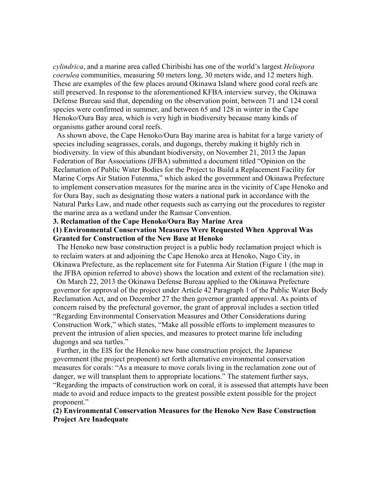*cylindrica*, and a marine area called Chiribishi has one of the world's largest *Heliopora coerulea* communities, measuring 50 meters long, 30 meters wide, and 12 meters high. These are examples of the few places around Okinawa Island where good coral reefs are still preserved. In response to the aforementioned KFBA interview survey, the Okinawa Defense Bureau said that, depending on the observation point, between 71 and 124 coral species were confirmed in summer, and between 65 and 128 in winter in the Cape Henoko/Oura Bay area, which is very high in biodiversity because many kinds of organisms gather around coral reefs.

As shown above, the Cape Henoko/Oura Bay marine area is habitat for a large variety of species including seagrasses, corals, and dugongs, thereby making it highly rich in biodiversity. In view of this abundant biodiversity, on November 21, 2013 the Japan Federation of Bar Associations (JFBA) submitted a document titled "Opinion on the Reclamation of Public Water Bodies for the Project to Build a Replacement Facility for Marine Corps Air Station Futenma," which asked the government and Okinawa Prefecture to implement conservation measures for the marine area in the vicinity of Cape Henoko and for Oura Bay, such as designating those waters a national park in accordance with the Natural Parks Law, and made other requests such as carrying out the procedures to register the marine area as a wetland under the Ramsar Convention.

### **3. Reclamation of the Cape Henoko/Oura Bay Marine Area**

### **(1) Environmental Conservation Measures Were Requested When Approval Was Granted for Construction of the New Base at Henoko**

The Henoko new base construction project is a public body reclamation project which is to reclaim waters at and adjoining the Cape Henoko area at Henoko, Nago City, in Okinawa Prefecture, as the replacement site for Futenma Air Station (Figure 1 (the map in the JFBA opinion referred to above) shows the location and extent of the reclamation site).

On March 22, 2013 the Okinawa Defense Bureau applied to the Okinawa Prefecture governor for approval of the project under Article 42 Paragraph 1 of the Public Water Body Reclamation Act, and on December 27 the then governor granted approval. As points of concern raised by the prefectural governor, the grant of approval includes a section titled "Regarding Environmental Conservation Measures and Other Considerations during Construction Work," which states, "Make all possible efforts to implement measures to prevent the intrusion of alien species, and measures to protect marine life including dugongs and sea turtles."

Further, in the EIS for the Henoko new base construction project, the Japanese government (the project proponent) set forth alternative environmental conservation measures for corals: "As a measure to move corals living in the reclamation zone out of danger, we will transplant them to appropriate locations." The statement further says, "Regarding the impacts of construction work on coral, it is assessed that attempts have been made to avoid and reduce impacts to the greatest possible extent possible for the project proponent."

### **(2) Environmental Conservation Measures for the Henoko New Base Construction Project Are Inadequate**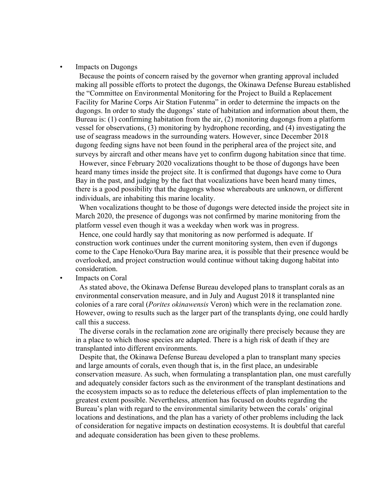#### • Impacts on Dugongs

Because the points of concern raised by the governor when granting approval included making all possible efforts to protect the dugongs, the Okinawa Defense Bureau established the "Committee on Environmental Monitoring for the Project to Build a Replacement Facility for Marine Corps Air Station Futenma" in order to determine the impacts on the dugongs. In order to study the dugongs' state of habitation and information about them, the Bureau is: (1) confirming habitation from the air, (2) monitoring dugongs from a platform vessel for observations, (3) monitoring by hydrophone recording, and (4) investigating the use of seagrass meadows in the surrounding waters. However, since December 2018 dugong feeding signs have not been found in the peripheral area of the project site, and surveys by aircraft and other means have yet to confirm dugong habitation since that time.

However, since February 2020 vocalizations thought to be those of dugongs have been heard many times inside the project site. It is confirmed that dugongs have come to Oura Bay in the past, and judging by the fact that vocalizations have been heard many times, there is a good possibility that the dugongs whose whereabouts are unknown, or different individuals, are inhabiting this marine locality.

When vocalizations thought to be those of dugongs were detected inside the project site in March 2020, the presence of dugongs was not confirmed by marine monitoring from the platform vessel even though it was a weekday when work was in progress.

Hence, one could hardly say that monitoring as now performed is adequate. If construction work continues under the current monitoring system, then even if dugongs come to the Cape Henoko/Oura Bay marine area, it is possible that their presence would be overlooked, and project construction would continue without taking dugong habitat into consideration.

Impacts on Coral

As stated above, the Okinawa Defense Bureau developed plans to transplant corals as an environmental conservation measure, and in July and August 2018 it transplanted nine colonies of a rare coral (*Porites okinawensis* Veron) which were in the reclamation zone. However, owing to results such as the larger part of the transplants dying, one could hardly call this a success.

The diverse corals in the reclamation zone are originally there precisely because they are in a place to which those species are adapted. There is a high risk of death if they are transplanted into different environments.

Despite that, the Okinawa Defense Bureau developed a plan to transplant many species and large amounts of corals, even though that is, in the first place, an undesirable conservation measure. As such, when formulating a transplantation plan, one must carefully and adequately consider factors such as the environment of the transplant destinations and the ecosystem impacts so as to reduce the deleterious effects of plan implementation to the greatest extent possible. Nevertheless, attention has focused on doubts regarding the Bureau's plan with regard to the environmental similarity between the corals' original locations and destinations, and the plan has a variety of other problems including the lack of consideration for negative impacts on destination ecosystems. It is doubtful that careful and adequate consideration has been given to these problems.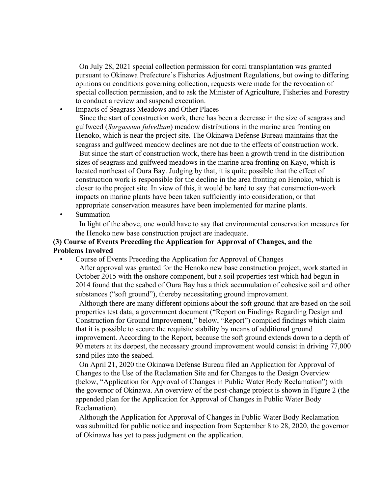On July 28, 2021 special collection permission for coral transplantation was granted pursuant to Okinawa Prefecture's Fisheries Adjustment Regulations, but owing to differing opinions on conditions governing collection, requests were made for the revocation of special collection permission, and to ask the Minister of Agriculture, Fisheries and Forestry to conduct a review and suspend execution.

• Impacts of Seagrass Meadows and Other Places

Since the start of construction work, there has been a decrease in the size of seagrass and gulfweed (*Sargassum fulvellum*) meadow distributions in the marine area fronting on Henoko, which is near the project site. The Okinawa Defense Bureau maintains that the seagrass and gulfweed meadow declines are not due to the effects of construction work.

But since the start of construction work, there has been a growth trend in the distribution sizes of seagrass and gulfweed meadows in the marine area fronting on Kayo, which is located northeast of Oura Bay. Judging by that, it is quite possible that the effect of construction work is responsible for the decline in the area fronting on Henoko, which is closer to the project site. In view of this, it would be hard to say that construction-work impacts on marine plants have been taken sufficiently into consideration, or that appropriate conservation measures have been implemented for marine plants. **Summation** 

In light of the above, one would have to say that environmental conservation measures for the Henoko new base construction project are inadequate.

## **(3) Course of Events Preceding the Application for Approval of Changes, and the Problems Involved**

• Course of Events Preceding the Application for Approval of Changes

After approval was granted for the Henoko new base construction project, work started in October 2015 with the onshore component, but a soil properties test which had begun in 2014 found that the seabed of Oura Bay has a thick accumulation of cohesive soil and other substances ("soft ground"), thereby necessitating ground improvement.

Although there are many different opinions about the soft ground that are based on the soil properties test data, a government document ("Report on Findings Regarding Design and Construction for Ground Improvement," below, "Report") compiled findings which claim that it is possible to secure the requisite stability by means of additional ground improvement. According to the Report, because the soft ground extends down to a depth of 90 meters at its deepest, the necessary ground improvement would consist in driving 77,000 sand piles into the seabed.

On April 21, 2020 the Okinawa Defense Bureau filed an Application for Approval of Changes to the Use of the Reclamation Site and for Changes to the Design Overview (below, "Application for Approval of Changes in Public Water Body Reclamation") with the governor of Okinawa. An overview of the post-change project is shown in Figure 2 (the appended plan for the Application for Approval of Changes in Public Water Body Reclamation).

Although the Application for Approval of Changes in Public Water Body Reclamation was submitted for public notice and inspection from September 8 to 28, 2020, the governor of Okinawa has yet to pass judgment on the application.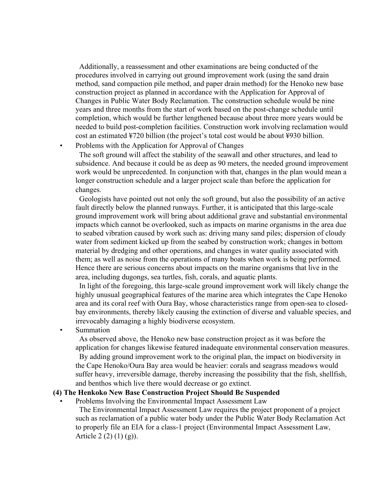Additionally, a reassessment and other examinations are being conducted of the procedures involved in carrying out ground improvement work (using the sand drain method, sand compaction pile method, and paper drain method) for the Henoko new base construction project as planned in accordance with the Application for Approval of Changes in Public Water Body Reclamation. The construction schedule would be nine years and three months from the start of work based on the post-change schedule until completion, which would be further lengthened because about three more years would be needed to build post-completion facilities. Construction work involving reclamation would cost an estimated ¥720 billion (the project's total cost would be about ¥930 billion. • Problems with the Application for Approval of Changes

The soft ground will affect the stability of the seawall and other structures, and lead to subsidence. And because it could be as deep as 90 meters, the needed ground improvement work would be unprecedented. In conjunction with that, changes in the plan would mean a longer construction schedule and a larger project scale than before the application for changes.

Geologists have pointed out not only the soft ground, but also the possibility of an active fault directly below the planned runways. Further, it is anticipated that this large-scale ground improvement work will bring about additional grave and substantial environmental impacts which cannot be overlooked, such as impacts on marine organisms in the area due to seabed vibration caused by work such as: driving many sand piles; dispersion of cloudy water from sediment kicked up from the seabed by construction work; changes in bottom material by dredging and other operations, and changes in water quality associated with them; as well as noise from the operations of many boats when work is being performed. Hence there are serious concerns about impacts on the marine organisms that live in the area, including dugongs, sea turtles, fish, corals, and aquatic plants.

In light of the foregoing, this large-scale ground improvement work will likely change the highly unusual geographical features of the marine area which integrates the Cape Henoko area and its coral reef with Oura Bay, whose characteristics range from open-sea to closedbay environments, thereby likely causing the extinction of diverse and valuable species, and irrevocably damaging a highly biodiverse ecosystem.

**Summation** 

As observed above, the Henoko new base construction project as it was before the application for changes likewise featured inadequate environmental conservation measures.

By adding ground improvement work to the original plan, the impact on biodiversity in the Cape Henoko/Oura Bay area would be heavier: corals and seagrass meadows would suffer heavy, irreversible damage, thereby increasing the possibility that the fish, shellfish, and benthos which live there would decrease or go extinct.

### **(4) The Henkoko New Base Construction Project Should Be Suspended**

• Problems Involving the Environmental Impact Assessment Law

The Environmental Impact Assessment Law requires the project proponent of a project such as reclamation of a public water body under the Public Water Body Reclamation Act to properly file an EIA for a class-1 project (Environmental Impact Assessment Law, Article 2 (2) (1) (g)).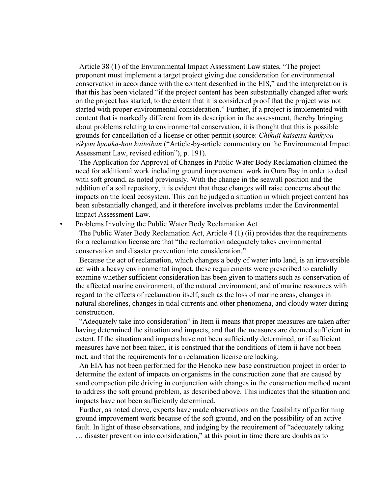Article 38 (1) of the Environmental Impact Assessment Law states, "The project proponent must implement a target project giving due consideration for environmental conservation in accordance with the content described in the EIS," and the interpretation is that this has been violated "if the project content has been substantially changed after work on the project has started, to the extent that it is considered proof that the project was not started with proper environmental consideration." Further, if a project is implemented with content that is markedly different from its description in the assessment, thereby bringing about problems relating to environmental conservation, it is thought that this is possible grounds for cancellation of a license or other permit (source: *Chikuji kaisetsu kankyou eikyou hyouka-hou kaiteiban* ("Article-by-article commentary on the Environmental Impact Assessment Law, revised edition"), p. 191).

The Application for Approval of Changes in Public Water Body Reclamation claimed the need for additional work including ground improvement work in Oura Bay in order to deal with soft ground, as noted previously. With the change in the seawall position and the addition of a soil repository, it is evident that these changes will raise concerns about the impacts on the local ecosystem. This can be judged a situation in which project content has been substantially changed, and it therefore involves problems under the Environmental Impact Assessment Law.

#### • Problems Involving the Public Water Body Reclamation Act

The Public Water Body Reclamation Act, Article 4 (1) (ii) provides that the requirements for a reclamation license are that "the reclamation adequately takes environmental conservation and disaster prevention into consideration."

Because the act of reclamation, which changes a body of water into land, is an irreversible act with a heavy environmental impact, these requirements were prescribed to carefully examine whether sufficient consideration has been given to matters such as conservation of the affected marine environment, of the natural environment, and of marine resources with regard to the effects of reclamation itself, such as the loss of marine areas, changes in natural shorelines, changes in tidal currents and other phenomena, and cloudy water during construction.

"Adequately take into consideration" in Item ii means that proper measures are taken after having determined the situation and impacts, and that the measures are deemed sufficient in extent. If the situation and impacts have not been sufficiently determined, or if sufficient measures have not been taken, it is construed that the conditions of Item ii have not been met, and that the requirements for a reclamation license are lacking.

An EIA has not been performed for the Henoko new base construction project in order to determine the extent of impacts on organisms in the construction zone that are caused by sand compaction pile driving in conjunction with changes in the construction method meant to address the soft ground problem, as described above. This indicates that the situation and impacts have not been sufficiently determined.

Further, as noted above, experts have made observations on the feasibility of performing ground improvement work because of the soft ground, and on the possibility of an active fault. In light of these observations, and judging by the requirement of "adequately taking … disaster prevention into consideration," at this point in time there are doubts as to